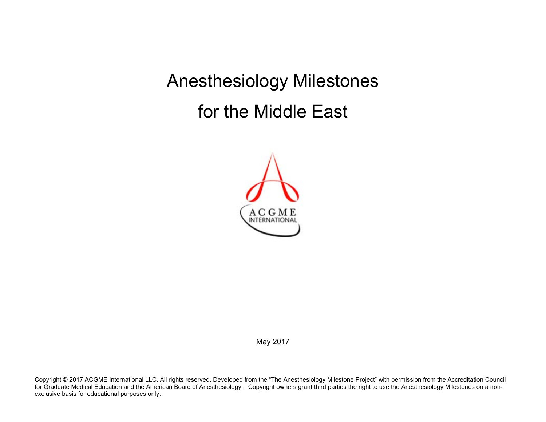Anesthesiology Milestones for the Middle East



May 2017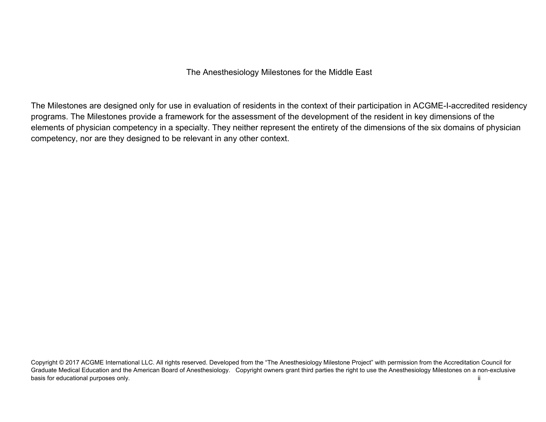The Anesthesiology Milestones for the Middle East

The Milestones are designed only for use in evaluation of residents in the context of their participation in ACGME-I-accredited residency programs. The Milestones provide a framework for the assessment of the development of the resident in key dimensions of the elements of physician competency in a specialty. They neither represent the entirety of the dimensions of the six domains of physician competency, nor are they designed to be relevant in any other context.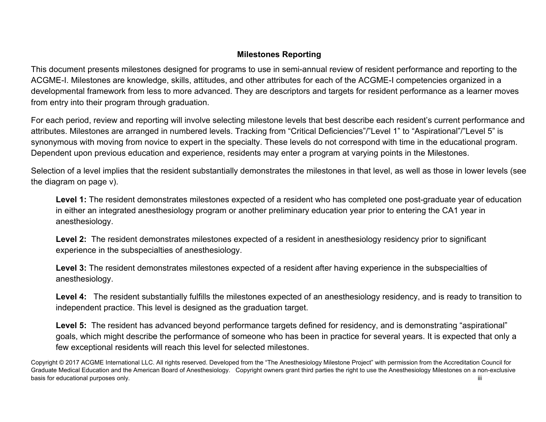## **Milestones Reporting**

This document presents milestones designed for programs to use in semi-annual review of resident performance and reporting to the ACGME-I. Milestones are knowledge, skills, attitudes, and other attributes for each of the ACGME-I competencies organized in a developmental framework from less to more advanced. They are descriptors and targets for resident performance as a learner moves from entry into their program through graduation.

For each period, review and reporting will involve selecting milestone levels that best describe each resident's current performance and attributes. Milestones are arranged in numbered levels. Tracking from "Critical Deficiencies"/"Level 1" to "Aspirational"/"Level 5" is synonymous with moving from novice to expert in the specialty. These levels do not correspond with time in the educational program. Dependent upon previous education and experience, residents may enter a program at varying points in the Milestones.

Selection of a level implies that the resident substantially demonstrates the milestones in that level, as well as those in lower levels (see the diagram on page v).

**Level 1:** The resident demonstrates milestones expected of a resident who has completed one post-graduate year of education in either an integrated anesthesiology program or another preliminary education year prior to entering the CA1 year in anesthesiology.

**Level 2:** The resident demonstrates milestones expected of a resident in anesthesiology residency prior to significant experience in the subspecialties of anesthesiology.

**Level 3:** The resident demonstrates milestones expected of a resident after having experience in the subspecialties of anesthesiology.

Level 4: The resident substantially fulfills the milestones expected of an anesthesiology residency, and is ready to transition to independent practice. This level is designed as the graduation target.

Level 5: The resident has advanced beyond performance targets defined for residency, and is demonstrating "aspirational" goals, which might describe the performance of someone who has been in practice for several years. It is expected that only a few exceptional residents will reach this level for selected milestones.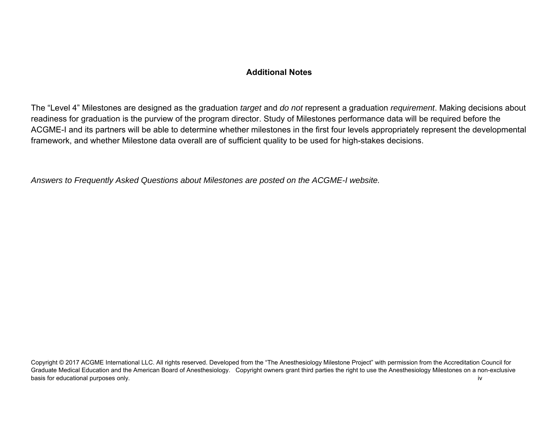## **Additional Notes**

The "Level 4" Milestones are designed as the graduation *target* and *do not* represent a graduation *requirement*. Making decisions about readiness for graduation is the purview of the program director. Study of Milestones performance data will be required before the ACGME-I and its partners will be able to determine whether milestones in the first four levels appropriately represent the developmental framework, and whether Milestone data overall are of sufficient quality to be used for high-stakes decisions.

*Answers to Frequently Asked Questions about Milestones are posted on the ACGME-I website.*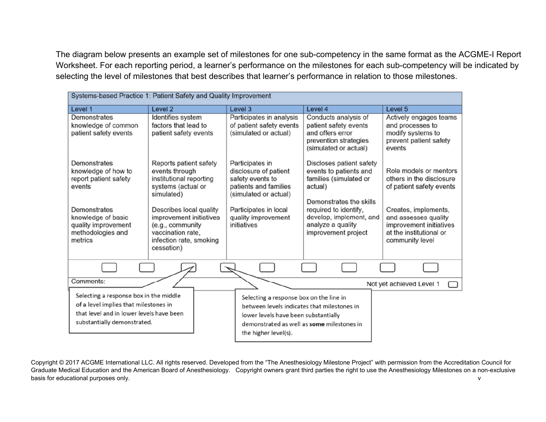The diagram below presents an example set of milestones for one sub-competency in the same format as the ACGME-I Report Worksheet. For each reporting period, a learner's performance on the milestones for each sub-competency will be indicated by selecting the level of milestones that best describes that learner's performance in relation to those milestones.

| Systems-based Practice 1: Patient Safety and Quality Improvement                                                                                                    |                                                                                                                                                                                                                                                 |                                                                                                                                                                                                      |                                                                                                                                                                                                                    |                                                                                                                                                                                                         |
|---------------------------------------------------------------------------------------------------------------------------------------------------------------------|-------------------------------------------------------------------------------------------------------------------------------------------------------------------------------------------------------------------------------------------------|------------------------------------------------------------------------------------------------------------------------------------------------------------------------------------------------------|--------------------------------------------------------------------------------------------------------------------------------------------------------------------------------------------------------------------|---------------------------------------------------------------------------------------------------------------------------------------------------------------------------------------------------------|
| Level 1                                                                                                                                                             | Level <sub>2</sub>                                                                                                                                                                                                                              | Level 3                                                                                                                                                                                              | Level 4                                                                                                                                                                                                            | Level 5                                                                                                                                                                                                 |
| Demonstrates<br>knowledge of common<br>patient safety events                                                                                                        | Identifies system<br>factors that lead to<br>patient safety events                                                                                                                                                                              | Participates in analysis<br>of patient safety events<br>(simulated or actual)                                                                                                                        | Conducts analysis of<br>patient safety events<br>and offers error<br>prevention strategies<br>(simulated or actual)                                                                                                | Actively engages teams<br>and processes to<br>modify systems to<br>prevent patient safety<br>events                                                                                                     |
| Demonstrates<br>knowledge of how to<br>report patient safety<br>events<br>Demonstrates<br>knowledge of basic<br>quality improvement<br>methodologies and<br>metrics | Reports patient safety<br>events through<br>institutional reporting<br>systems (actual or<br>simulated)<br>Describes local quality<br>improvement initiatives<br>(e.g., community<br>vaccination rate.<br>infection rate, smoking<br>cessation) | Participates in<br>disclosure of patient<br>safety events to<br>patients and families<br>(simulated or actual)<br>Participates in local<br>quality improvement<br>initiatives                        | Discloses patient safety<br>events to patients and<br>families (simulated or<br>actual)<br>Demonstrates the skills<br>required to identify,<br>develop, implement, and<br>analyze a quality<br>improvement project | Role models or mentors<br>others in the disclosure<br>of patient safety events<br>Creates, implements,<br>and assesses quality<br>improvement initiatives<br>at the institutional or<br>community level |
|                                                                                                                                                                     |                                                                                                                                                                                                                                                 |                                                                                                                                                                                                      |                                                                                                                                                                                                                    |                                                                                                                                                                                                         |
| Comments:                                                                                                                                                           |                                                                                                                                                                                                                                                 |                                                                                                                                                                                                      |                                                                                                                                                                                                                    | Not yet achieved Level 1                                                                                                                                                                                |
| Selecting a response box in the middle<br>of a level implies that milestones in<br>that level and in lower levels have been<br>substantially demonstrated.          |                                                                                                                                                                                                                                                 | Selecting a response box on the line in<br>between levels indicates that milestones in<br>lower levels have been substantially<br>demonstrated as well as some milestones in<br>the higher level(s). |                                                                                                                                                                                                                    |                                                                                                                                                                                                         |

Copyright © 2017 ACGME International LLC. All rights reserved. Developed from the "The Anesthesiology Milestone Project" with permission from the Accreditation Council for Graduate Medical Education and the American Board of Anesthesiology. Copyright owners grant third parties the right to use the Anesthesiology Milestones on a non-exclusive basis for educational purposes only. We also contain the contact of the contact of the contact of the contact of the contact of the contact of the contact of the contact of the contact of the contact of the contact of the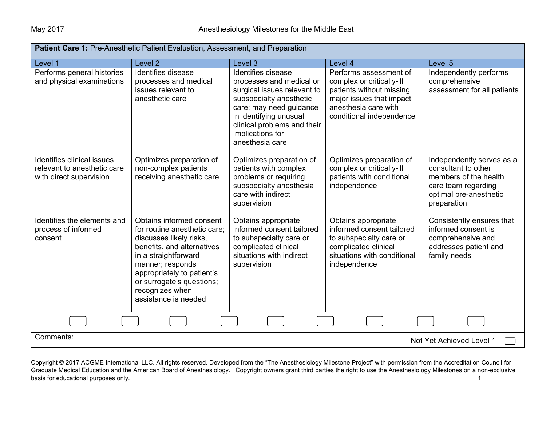| <b>Patient Care 1: Pre-Anesthetic Patient Evaluation, Assessment, and Preparation</b> |                                                                                                                                                                                                                                                                     |                                                                                                                                                                                                                                     |                                                                                                                                                                 |                                                                                                                                           |  |
|---------------------------------------------------------------------------------------|---------------------------------------------------------------------------------------------------------------------------------------------------------------------------------------------------------------------------------------------------------------------|-------------------------------------------------------------------------------------------------------------------------------------------------------------------------------------------------------------------------------------|-----------------------------------------------------------------------------------------------------------------------------------------------------------------|-------------------------------------------------------------------------------------------------------------------------------------------|--|
| Level 1                                                                               | Level 2                                                                                                                                                                                                                                                             | Level 3                                                                                                                                                                                                                             | Level 4                                                                                                                                                         | Level 5                                                                                                                                   |  |
| Performs general histories<br>and physical examinations                               | Identifies disease<br>processes and medical<br>issues relevant to<br>anesthetic care                                                                                                                                                                                | Identifies disease<br>processes and medical or<br>surgical issues relevant to<br>subspecialty anesthetic<br>care; may need guidance<br>in identifying unusual<br>clinical problems and their<br>implications for<br>anesthesia care | Performs assessment of<br>complex or critically-ill<br>patients without missing<br>major issues that impact<br>anesthesia care with<br>conditional independence | Independently performs<br>comprehensive<br>assessment for all patients                                                                    |  |
| Identifies clinical issues<br>relevant to anesthetic care<br>with direct supervision  | Optimizes preparation of<br>non-complex patients<br>receiving anesthetic care                                                                                                                                                                                       | Optimizes preparation of<br>patients with complex<br>problems or requiring<br>subspecialty anesthesia<br>care with indirect<br>supervision                                                                                          | Optimizes preparation of<br>complex or critically-ill<br>patients with conditional<br>independence                                                              | Independently serves as a<br>consultant to other<br>members of the health<br>care team regarding<br>optimal pre-anesthetic<br>preparation |  |
| Identifies the elements and<br>process of informed<br>consent                         | Obtains informed consent<br>for routine anesthetic care;<br>discusses likely risks,<br>benefits, and alternatives<br>in a straightforward<br>manner; responds<br>appropriately to patient's<br>or surrogate's questions;<br>recognizes when<br>assistance is needed | Obtains appropriate<br>informed consent tailored<br>to subspecialty care or<br>complicated clinical<br>situations with indirect<br>supervision                                                                                      | Obtains appropriate<br>informed consent tailored<br>to subspecialty care or<br>complicated clinical<br>situations with conditional<br>independence              | Consistently ensures that<br>informed consent is<br>comprehensive and<br>addresses patient and<br>family needs                            |  |
|                                                                                       |                                                                                                                                                                                                                                                                     |                                                                                                                                                                                                                                     |                                                                                                                                                                 |                                                                                                                                           |  |
| Comments:                                                                             | Not Yet Achieved Level 1                                                                                                                                                                                                                                            |                                                                                                                                                                                                                                     |                                                                                                                                                                 |                                                                                                                                           |  |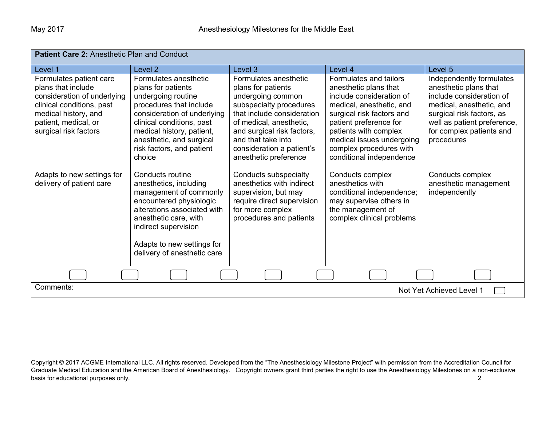| Patient Care 2: Anesthetic Plan and Conduct                                                                                                                                        |                                                                                                                                                                                                                                                          |                                                                                                                                                                                                                                                                |                                                                                                                                                                                                                                                                             |                                                                                                                                                                                                                 |
|------------------------------------------------------------------------------------------------------------------------------------------------------------------------------------|----------------------------------------------------------------------------------------------------------------------------------------------------------------------------------------------------------------------------------------------------------|----------------------------------------------------------------------------------------------------------------------------------------------------------------------------------------------------------------------------------------------------------------|-----------------------------------------------------------------------------------------------------------------------------------------------------------------------------------------------------------------------------------------------------------------------------|-----------------------------------------------------------------------------------------------------------------------------------------------------------------------------------------------------------------|
| Level 1                                                                                                                                                                            | Level <sub>2</sub>                                                                                                                                                                                                                                       | Level 3                                                                                                                                                                                                                                                        | Level 4                                                                                                                                                                                                                                                                     | Level <sub>5</sub>                                                                                                                                                                                              |
| Formulates patient care<br>plans that include<br>consideration of underlying<br>clinical conditions, past<br>medical history, and<br>patient, medical, or<br>surgical risk factors | Formulates anesthetic<br>plans for patients<br>undergoing routine<br>procedures that include<br>consideration of underlying<br>clinical conditions, past<br>medical history, patient,<br>anesthetic, and surgical<br>risk factors, and patient<br>choice | Formulates anesthetic<br>plans for patients<br>undergoing common<br>subspecialty procedures<br>that include consideration<br>of-medical, anesthetic,<br>and surgical risk factors,<br>and that take into<br>consideration a patient's<br>anesthetic preference | Formulates and tailors<br>anesthetic plans that<br>include consideration of<br>medical, anesthetic, and<br>surgical risk factors and<br>patient preference for<br>patients with complex<br>medical issues undergoing<br>complex procedures with<br>conditional independence | Independently formulates<br>anesthetic plans that<br>include consideration of<br>medical, anesthetic, and<br>surgical risk factors, as<br>well as patient preference,<br>for complex patients and<br>procedures |
| Adapts to new settings for<br>delivery of patient care                                                                                                                             | Conducts routine<br>anesthetics, including<br>management of commonly<br>encountered physiologic<br>alterations associated with<br>anesthetic care, with<br>indirect supervision<br>Adapts to new settings for<br>delivery of anesthetic care             | Conducts subspecialty<br>anesthetics with indirect<br>supervision, but may<br>require direct supervision<br>for more complex<br>procedures and patients                                                                                                        | Conducts complex<br>anesthetics with<br>conditional independence;<br>may supervise others in<br>the management of<br>complex clinical problems                                                                                                                              | Conducts complex<br>anesthetic management<br>independently                                                                                                                                                      |
|                                                                                                                                                                                    |                                                                                                                                                                                                                                                          |                                                                                                                                                                                                                                                                |                                                                                                                                                                                                                                                                             |                                                                                                                                                                                                                 |
| Comments:                                                                                                                                                                          |                                                                                                                                                                                                                                                          |                                                                                                                                                                                                                                                                |                                                                                                                                                                                                                                                                             | Not Yet Achieved Level 1                                                                                                                                                                                        |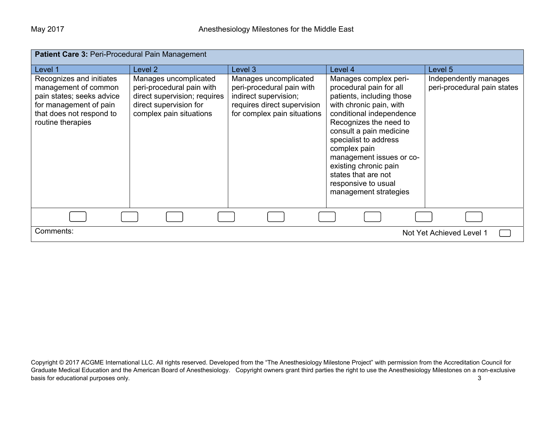| <b>Patient Care 3: Peri-Procedural Pain Management</b>                                                                                                   |                                                                                                                                         |                                                                                                                                           |                                                                                                                                                                                                                                                                                                                                                                |                                                      |  |
|----------------------------------------------------------------------------------------------------------------------------------------------------------|-----------------------------------------------------------------------------------------------------------------------------------------|-------------------------------------------------------------------------------------------------------------------------------------------|----------------------------------------------------------------------------------------------------------------------------------------------------------------------------------------------------------------------------------------------------------------------------------------------------------------------------------------------------------------|------------------------------------------------------|--|
| Level 1                                                                                                                                                  | Level <sub>2</sub>                                                                                                                      | Level 3                                                                                                                                   | Level 4                                                                                                                                                                                                                                                                                                                                                        | Level 5                                              |  |
| Recognizes and initiates<br>management of common<br>pain states; seeks advice<br>for management of pain<br>that does not respond to<br>routine therapies | Manages uncomplicated<br>peri-procedural pain with<br>direct supervision; requires<br>direct supervision for<br>complex pain situations | Manages uncomplicated<br>peri-procedural pain with<br>indirect supervision;<br>requires direct supervision<br>for complex pain situations | Manages complex peri-<br>procedural pain for all<br>patients, including those<br>with chronic pain, with<br>conditional independence<br>Recognizes the need to<br>consult a pain medicine<br>specialist to address<br>complex pain<br>management issues or co-<br>existing chronic pain<br>states that are not<br>responsive to usual<br>management strategies | Independently manages<br>peri-procedural pain states |  |
|                                                                                                                                                          |                                                                                                                                         |                                                                                                                                           |                                                                                                                                                                                                                                                                                                                                                                |                                                      |  |
| Comments:                                                                                                                                                | Not Yet Achieved Level 1                                                                                                                |                                                                                                                                           |                                                                                                                                                                                                                                                                                                                                                                |                                                      |  |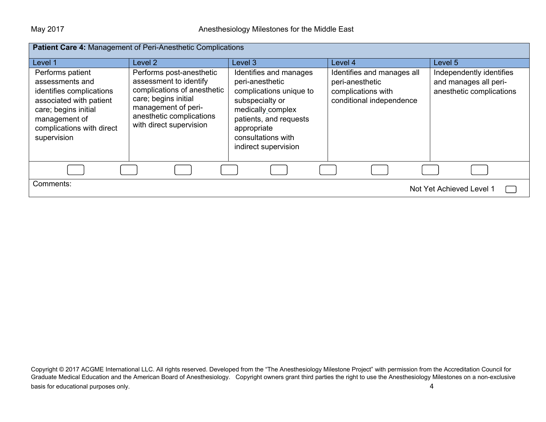| Patient Care 4: Management of Peri-Anesthetic Complications                                                                                                                     |                                                                                                                                                                                         |                                                                                                                                                                                                     |                                                                                                 |                                                                               |
|---------------------------------------------------------------------------------------------------------------------------------------------------------------------------------|-----------------------------------------------------------------------------------------------------------------------------------------------------------------------------------------|-----------------------------------------------------------------------------------------------------------------------------------------------------------------------------------------------------|-------------------------------------------------------------------------------------------------|-------------------------------------------------------------------------------|
| Level 1                                                                                                                                                                         | Level 2                                                                                                                                                                                 | Level 3                                                                                                                                                                                             | Level 4                                                                                         | Level 5                                                                       |
| Performs patient<br>assessments and<br>identifies complications<br>associated with patient<br>care; begins initial<br>management of<br>complications with direct<br>supervision | Performs post-anesthetic<br>assessment to identify<br>complications of anesthetic<br>care; begins initial<br>management of peri-<br>anesthetic complications<br>with direct supervision | Identifies and manages<br>peri-anesthetic<br>complications unique to<br>subspecialty or<br>medically_complex<br>patients, and requests<br>appropriate<br>consultations with<br>indirect supervision | Identifies and manages all<br>peri-anesthetic<br>complications with<br>conditional independence | Independently identifies<br>and manages all peri-<br>anesthetic complications |
|                                                                                                                                                                                 |                                                                                                                                                                                         |                                                                                                                                                                                                     |                                                                                                 |                                                                               |
| Comments:<br>Not Yet Achieved Level 1                                                                                                                                           |                                                                                                                                                                                         |                                                                                                                                                                                                     |                                                                                                 |                                                                               |

Copyright © 2017 ACGME International LLC. All rights reserved. Developed from the "The Anesthesiology Milestone Project" with permission from the Accreditation Council for Graduate Medical Education and the American Board of Anesthesiology. Copyright owners grant third parties the right to use the Anesthesiology Milestones on a non-exclusive  $\alpha$  basis for educational purposes only.  $\alpha$  and  $\alpha$  is the set of the set of the set of the set of the set of the set of the set of the set of the set of the set of the set of the set of the set of the set of the set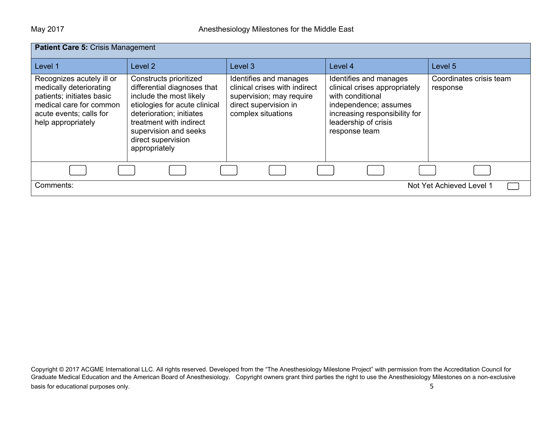| <b>Patient Care 5: Crisis Management</b>                                                                                                                      |                                                                                                                                                                                                                                          |                                                                                                                                    |                                                                                                                                                                                |                                     |
|---------------------------------------------------------------------------------------------------------------------------------------------------------------|------------------------------------------------------------------------------------------------------------------------------------------------------------------------------------------------------------------------------------------|------------------------------------------------------------------------------------------------------------------------------------|--------------------------------------------------------------------------------------------------------------------------------------------------------------------------------|-------------------------------------|
| Level 1                                                                                                                                                       | Level 2                                                                                                                                                                                                                                  | Level 3                                                                                                                            | Level 4                                                                                                                                                                        | Level 5                             |
| Recognizes acutely ill or<br>medically deteriorating<br>patients; initiates basic<br>medical care for common<br>acute events; calls for<br>help appropriately | Constructs prioritized<br>differential diagnoses that<br>include the most likely<br>etiologies for acute clinical<br>deterioration; initiates<br>treatment with indirect<br>supervision and seeks<br>direct supervision<br>appropriately | Identifies and manages<br>clinical crises with indirect<br>supervision; may require<br>direct supervision in<br>complex situations | Identifies and manages<br>clinical crises appropriately<br>with conditional<br>independence; assumes<br>increasing responsibility for<br>leadership of crisis<br>response team | Coordinates crisis team<br>response |
|                                                                                                                                                               |                                                                                                                                                                                                                                          |                                                                                                                                    |                                                                                                                                                                                |                                     |
| Not Yet Achieved Level 1<br>Comments:                                                                                                                         |                                                                                                                                                                                                                                          |                                                                                                                                    |                                                                                                                                                                                |                                     |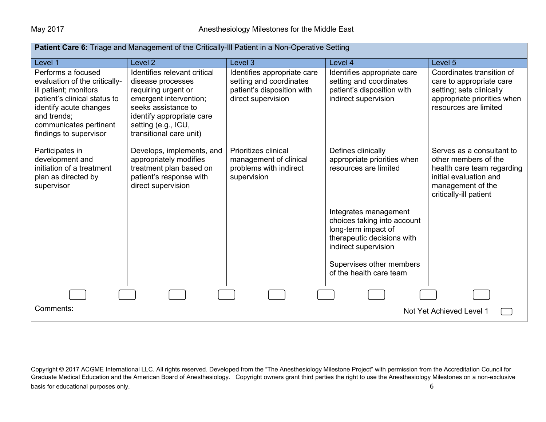| <b>Patient Care 6:</b> Triage and Management of the Critically-III Patient in a Non-Operative Setting                                                                                                     |                                                                                                                                                                                                          |                                                                                                            |                                                                                                                                                                                          |                                                                                                                                                          |
|-----------------------------------------------------------------------------------------------------------------------------------------------------------------------------------------------------------|----------------------------------------------------------------------------------------------------------------------------------------------------------------------------------------------------------|------------------------------------------------------------------------------------------------------------|------------------------------------------------------------------------------------------------------------------------------------------------------------------------------------------|----------------------------------------------------------------------------------------------------------------------------------------------------------|
| Level 1                                                                                                                                                                                                   | Level <sub>2</sub>                                                                                                                                                                                       | Level 3                                                                                                    | Level 4                                                                                                                                                                                  | Level 5                                                                                                                                                  |
| Performs a focused<br>evaluation of the critically-<br>ill patient; monitors<br>patient's clinical status to<br>identify acute changes<br>and trends;<br>communicates pertinent<br>findings to supervisor | Identifies relevant critical<br>disease processes<br>requiring urgent or<br>emergent intervention;<br>seeks assistance to<br>identify appropriate care<br>setting (e.g., ICU,<br>transitional care unit) | Identifies appropriate care<br>setting and coordinates<br>patient's disposition with<br>direct supervision | Identifies appropriate care<br>setting and coordinates<br>patient's disposition with<br>indirect supervision                                                                             | Coordinates transition of<br>care to appropriate care<br>setting; sets clinically<br>appropriate priorities when<br>resources are limited                |
| Participates in<br>development and<br>initiation of a treatment<br>plan as directed by<br>supervisor                                                                                                      | Develops, implements, and<br>appropriately modifies<br>treatment plan based on<br>patient's response with<br>direct supervision                                                                          | Prioritizes clinical<br>management of clinical<br>problems with indirect<br>supervision                    | Defines clinically<br>appropriate priorities when<br>resources are limited                                                                                                               | Serves as a consultant to<br>other members of the<br>health care team regarding<br>initial evaluation and<br>management of the<br>critically-ill patient |
|                                                                                                                                                                                                           |                                                                                                                                                                                                          |                                                                                                            | Integrates management<br>choices taking into account<br>long-term impact of<br>therapeutic decisions with<br>indirect supervision<br>Supervises other members<br>of the health care team |                                                                                                                                                          |
|                                                                                                                                                                                                           |                                                                                                                                                                                                          |                                                                                                            |                                                                                                                                                                                          |                                                                                                                                                          |
| Comments:<br>Not Yet Achieved Level 1                                                                                                                                                                     |                                                                                                                                                                                                          |                                                                                                            |                                                                                                                                                                                          |                                                                                                                                                          |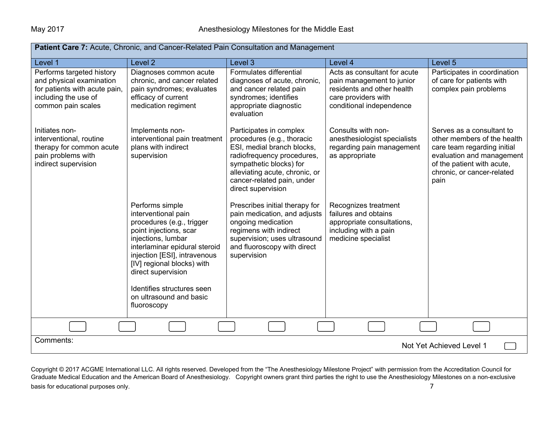| <b>Patient Care 7:</b> Acute, Chronic, and Cancer-Related Pain Consultation and Management                                           |                                                                                                                                                                                                                                                                                                                  |                                                                                                                                                                                                                                    |                                                                                                                                            |                                                                                                                                                                                          |  |
|--------------------------------------------------------------------------------------------------------------------------------------|------------------------------------------------------------------------------------------------------------------------------------------------------------------------------------------------------------------------------------------------------------------------------------------------------------------|------------------------------------------------------------------------------------------------------------------------------------------------------------------------------------------------------------------------------------|--------------------------------------------------------------------------------------------------------------------------------------------|------------------------------------------------------------------------------------------------------------------------------------------------------------------------------------------|--|
| Level 1                                                                                                                              | Level <sub>2</sub>                                                                                                                                                                                                                                                                                               | Level 3                                                                                                                                                                                                                            | Level 4                                                                                                                                    | Level 5                                                                                                                                                                                  |  |
| Performs targeted history<br>and physical examination<br>for patients with acute pain,<br>including the use of<br>common pain scales | Diagnoses common acute<br>chronic, and cancer related<br>pain syndromes; evaluates<br>efficacy of current<br>medication regiment                                                                                                                                                                                 | Formulates differential<br>diagnoses of acute, chronic,<br>and cancer related pain<br>syndromes; identifies<br>appropriate diagnostic<br>evaluation                                                                                | Acts as consultant for acute<br>pain management to junior<br>residents and other health<br>care providers with<br>conditional independence | Participates in coordination<br>of care for patients with<br>complex pain problems                                                                                                       |  |
| Initiates non-<br>interventional, routine<br>therapy for common acute<br>pain problems with<br>indirect supervision                  | Implements non-<br>interventional pain treatment<br>plans with indirect<br>supervision                                                                                                                                                                                                                           | Participates in complex<br>procedures (e.g., thoracic<br>ESI, medial branch blocks,<br>radiofrequency procedures,<br>sympathetic blocks) for<br>alleviating acute, chronic, or<br>cancer-related pain, under<br>direct supervision | Consults with non-<br>anesthesiologist specialists<br>regarding pain management<br>as appropriate                                          | Serves as a consultant to<br>other members of the health<br>care team regarding initial<br>evaluation and management<br>of the patient with acute,<br>chronic, or cancer-related<br>pain |  |
|                                                                                                                                      | Performs simple<br>interventional pain<br>procedures (e.g., trigger<br>point injections, scar<br>injections, lumbar<br>interlaminar epidural steroid<br>injection [ESI], intravenous<br>[IV] regional blocks) with<br>direct supervision<br>Identifies structures seen<br>on ultrasound and basic<br>fluoroscopy | Prescribes initial therapy for<br>pain medication, and adjusts<br>ongoing medication<br>regimens with indirect<br>supervision; uses ultrasound<br>and fluoroscopy with direct<br>supervision                                       | Recognizes treatment<br>failures and obtains<br>appropriate consultations,<br>including with a pain<br>medicine specialist                 |                                                                                                                                                                                          |  |
|                                                                                                                                      |                                                                                                                                                                                                                                                                                                                  |                                                                                                                                                                                                                                    |                                                                                                                                            |                                                                                                                                                                                          |  |
| Comments:<br>Not Yet Achieved Level 1                                                                                                |                                                                                                                                                                                                                                                                                                                  |                                                                                                                                                                                                                                    |                                                                                                                                            |                                                                                                                                                                                          |  |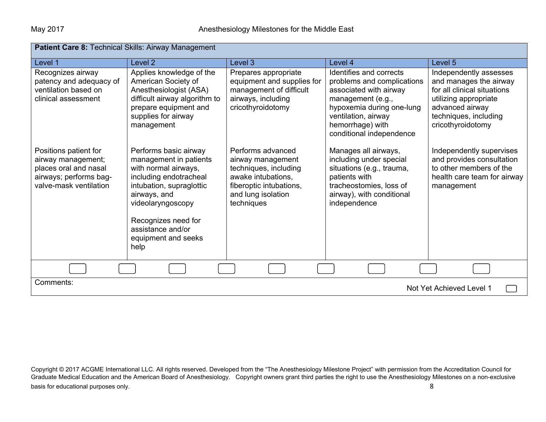| <b>Patient Care 8:</b> Technical Skills: Airway Management                                                               |                                                                                                                                                                                                                                               |                                                                                                                                                      |                                                                                                                                                                                                          |                                                                                                                                                                           |
|--------------------------------------------------------------------------------------------------------------------------|-----------------------------------------------------------------------------------------------------------------------------------------------------------------------------------------------------------------------------------------------|------------------------------------------------------------------------------------------------------------------------------------------------------|----------------------------------------------------------------------------------------------------------------------------------------------------------------------------------------------------------|---------------------------------------------------------------------------------------------------------------------------------------------------------------------------|
| Level 1                                                                                                                  | Level 2                                                                                                                                                                                                                                       | Level 3                                                                                                                                              | Level 4                                                                                                                                                                                                  | Level 5                                                                                                                                                                   |
| Recognizes airway<br>patency and adequacy of<br>ventilation based on<br>clinical assessment                              | Applies knowledge of the<br>American Society of<br>Anesthesiologist (ASA)<br>difficult airway algorithm to<br>prepare equipment and<br>supplies for airway<br>management                                                                      | Prepares appropriate<br>equipment and supplies for<br>management of difficult<br>airways, including<br>cricothyroidotomy                             | Identifies and corrects<br>problems and complications<br>associated with airway<br>management (e.g.,<br>hypoxemia during one-lung<br>ventilation, airway<br>hemorrhage) with<br>conditional independence | Independently assesses<br>and manages the airway<br>for all clinical situations<br>utilizing appropriate<br>advanced airway<br>techniques, including<br>cricothyroidotomy |
| Positions patient for<br>airway management;<br>places oral and nasal<br>airways; performs bag-<br>valve-mask ventilation | Performs basic airway<br>management in patients<br>with normal airways,<br>including endotracheal<br>intubation, supraglottic<br>airways, and<br>videolaryngoscopy<br>Recognizes need for<br>assistance and/or<br>equipment and seeks<br>help | Performs advanced<br>airway management<br>techniques, including<br>awake intubations,<br>fiberoptic intubations,<br>and lung isolation<br>techniques | Manages all airways,<br>including under special<br>situations (e.g., trauma,<br>patients with<br>tracheostomies, loss of<br>airway), with conditional<br>independence                                    | Independently supervises<br>and provides consultation<br>to other members of the<br>health care team for airway<br>management                                             |
|                                                                                                                          |                                                                                                                                                                                                                                               |                                                                                                                                                      |                                                                                                                                                                                                          |                                                                                                                                                                           |
| Comments:<br>Not Yet Achieved Level 1                                                                                    |                                                                                                                                                                                                                                               |                                                                                                                                                      |                                                                                                                                                                                                          |                                                                                                                                                                           |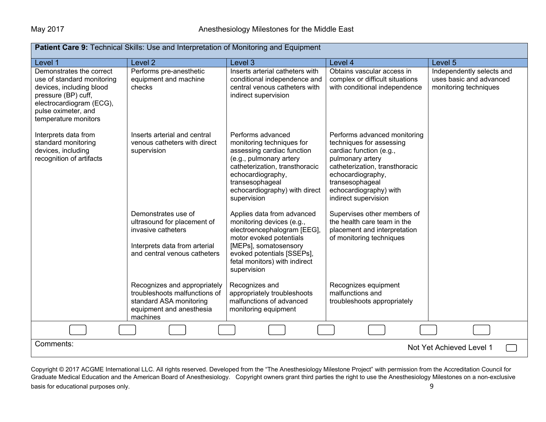| <b>Patient Care 9:</b> Technical Skills: Use and Interpretation of Monitoring and Equipment                                                                                          |                                                                                                                                           |                                                                                                                                                                                                                                   |                                                                                                                                                                                                                                     |                                                                               |  |
|--------------------------------------------------------------------------------------------------------------------------------------------------------------------------------------|-------------------------------------------------------------------------------------------------------------------------------------------|-----------------------------------------------------------------------------------------------------------------------------------------------------------------------------------------------------------------------------------|-------------------------------------------------------------------------------------------------------------------------------------------------------------------------------------------------------------------------------------|-------------------------------------------------------------------------------|--|
| Level 1                                                                                                                                                                              | Level 2                                                                                                                                   | Level 3                                                                                                                                                                                                                           | Level 4                                                                                                                                                                                                                             | Level 5                                                                       |  |
| Demonstrates the correct<br>use of standard monitoring<br>devices, including blood<br>pressure (BP) cuff,<br>electrocardiogram (ECG),<br>pulse oximeter, and<br>temperature monitors | Performs pre-anesthetic<br>equipment and machine<br>checks                                                                                | Inserts arterial catheters with<br>conditional independence and<br>central venous catheters with<br>indirect supervision                                                                                                          | Obtains vascular access in<br>complex or difficult situations<br>with conditional independence                                                                                                                                      | Independently selects and<br>uses basic and advanced<br>monitoring techniques |  |
| Interprets data from<br>standard monitoring<br>devices, including<br>recognition of artifacts                                                                                        | Inserts arterial and central<br>venous catheters with direct<br>supervision                                                               | Performs advanced<br>monitoring techniques for<br>assessing cardiac function<br>(e.g., pulmonary artery<br>catheterization, transthoracic<br>echocardiography,<br>transesophageal<br>echocardiography) with direct<br>supervision | Performs advanced monitoring<br>techniques for assessing<br>cardiac function (e.g.,<br>pulmonary artery<br>catheterization, transthoracic<br>echocardiography,<br>transesophageal<br>echocardiography) with<br>indirect supervision |                                                                               |  |
|                                                                                                                                                                                      | Demonstrates use of<br>ultrasound for placement of<br>invasive catheters<br>Interprets data from arterial<br>and central venous catheters | Applies data from advanced<br>monitoring devices (e.g.,<br>electroencephalogram [EEG],<br>motor evoked potentials<br>[MEPs], somatosensory<br>evoked potentials [SSEPs],<br>fetal monitors) with indirect<br>supervision          | Supervises other members of<br>the health care team in the<br>placement and interpretation<br>of monitoring techniques                                                                                                              |                                                                               |  |
|                                                                                                                                                                                      | Recognizes and appropriately<br>troubleshoots malfunctions of<br>standard ASA monitoring<br>equipment and anesthesia<br>machines          | Recognizes and<br>appropriately troubleshoots<br>malfunctions of advanced<br>monitoring equipment                                                                                                                                 | Recognizes equipment<br>malfunctions and<br>troubleshoots appropriately                                                                                                                                                             |                                                                               |  |
|                                                                                                                                                                                      |                                                                                                                                           |                                                                                                                                                                                                                                   |                                                                                                                                                                                                                                     |                                                                               |  |
| Comments:                                                                                                                                                                            |                                                                                                                                           |                                                                                                                                                                                                                                   |                                                                                                                                                                                                                                     | Not Yet Achieved Level 1                                                      |  |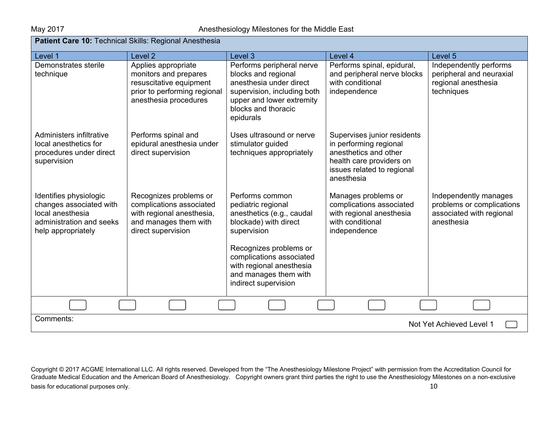| Patient Care 10: Technical Skills: Regional Anesthesia                                                                  |                                                                                                                                  |                                                                                                                                                                                                                                               |                                                                                                                                                        |                                                                                              |
|-------------------------------------------------------------------------------------------------------------------------|----------------------------------------------------------------------------------------------------------------------------------|-----------------------------------------------------------------------------------------------------------------------------------------------------------------------------------------------------------------------------------------------|--------------------------------------------------------------------------------------------------------------------------------------------------------|----------------------------------------------------------------------------------------------|
| Level 1                                                                                                                 | Level <sub>2</sub>                                                                                                               | Level 3                                                                                                                                                                                                                                       | Level 4                                                                                                                                                | Level 5                                                                                      |
| Demonstrates sterile<br>technique                                                                                       | Applies appropriate<br>monitors and prepares<br>resuscitative equipment<br>prior to performing regional<br>anesthesia procedures | Performs peripheral nerve<br>blocks and regional<br>anesthesia under direct<br>supervision, including both<br>upper and lower extremity<br>blocks and thoracic<br>epidurals                                                                   | Performs spinal, epidural,<br>and peripheral nerve blocks<br>with conditional<br>independence                                                          | Independently performs<br>peripheral and neuraxial<br>regional anesthesia<br>techniques      |
| Administers infiltrative<br>local anesthetics for<br>procedures under direct<br>supervision                             | Performs spinal and<br>epidural anesthesia under<br>direct supervision                                                           | Uses ultrasound or nerve<br>stimulator guided<br>techniques appropriately                                                                                                                                                                     | Supervises junior residents<br>in performing regional<br>anesthetics and other<br>health care providers on<br>issues related to regional<br>anesthesia |                                                                                              |
| Identifies physiologic<br>changes associated with<br>local anesthesia<br>administration and seeks<br>help appropriately | Recognizes problems or<br>complications associated<br>with regional anesthesia,<br>and manages them with<br>direct supervision   | Performs common<br>pediatric regional<br>anesthetics (e.g., caudal<br>blockade) with direct<br>supervision<br>Recognizes problems or<br>complications associated<br>with regional anesthesia<br>and manages them with<br>indirect supervision | Manages problems or<br>complications associated<br>with regional anesthesia<br>with conditional<br>independence                                        | Independently manages<br>problems or complications<br>associated with regional<br>anesthesia |
|                                                                                                                         |                                                                                                                                  |                                                                                                                                                                                                                                               |                                                                                                                                                        |                                                                                              |
| Comments:<br>Not Yet Achieved Level 1                                                                                   |                                                                                                                                  |                                                                                                                                                                                                                                               |                                                                                                                                                        |                                                                                              |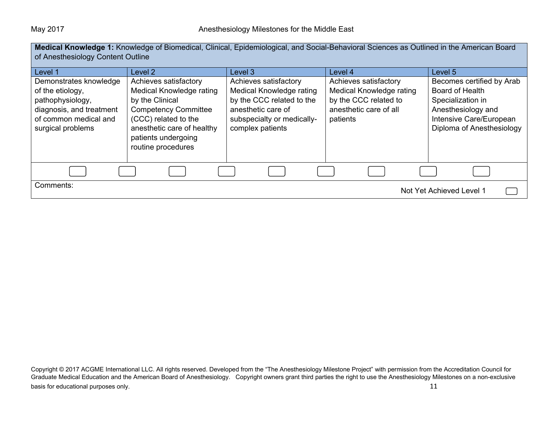| <b>Medical Knowledge 1:</b> Knowledge of Biomedical, Clinical, Epidemiological, and Social-Behavioral Sciences as Outlined in the American Board<br>of Anesthesiology Content Outline |                                                                                                                                                                                                        |                                                                                                                                                        |                                                                                                                  |                                                                                                                                                 |
|---------------------------------------------------------------------------------------------------------------------------------------------------------------------------------------|--------------------------------------------------------------------------------------------------------------------------------------------------------------------------------------------------------|--------------------------------------------------------------------------------------------------------------------------------------------------------|------------------------------------------------------------------------------------------------------------------|-------------------------------------------------------------------------------------------------------------------------------------------------|
| Level 1                                                                                                                                                                               | Level 2                                                                                                                                                                                                | Level 3                                                                                                                                                | Level 4                                                                                                          | Level 5                                                                                                                                         |
| Demonstrates knowledge<br>of the etiology,<br>pathophysiology,<br>diagnosis, and treatment<br>of common medical and<br>surgical problems                                              | Achieves satisfactory<br>Medical Knowledge rating<br>by the Clinical<br><b>Competency Committee</b><br>(CCC) related to the<br>anesthetic care of healthy<br>patients undergoing<br>routine procedures | Achieves satisfactory<br>Medical Knowledge rating<br>by the CCC related to the<br>anesthetic care of<br>subspecialty or medically-<br>complex patients | Achieves satisfactory<br>Medical Knowledge rating<br>by the CCC related to<br>anesthetic care of all<br>patients | Becomes certified by Arab<br>Board of Health<br>Specialization in<br>Anesthesiology and<br>Intensive Care/European<br>Diploma of Anesthesiology |
|                                                                                                                                                                                       |                                                                                                                                                                                                        |                                                                                                                                                        |                                                                                                                  |                                                                                                                                                 |
| Comments:<br>Not Yet Achieved Level 1                                                                                                                                                 |                                                                                                                                                                                                        |                                                                                                                                                        |                                                                                                                  |                                                                                                                                                 |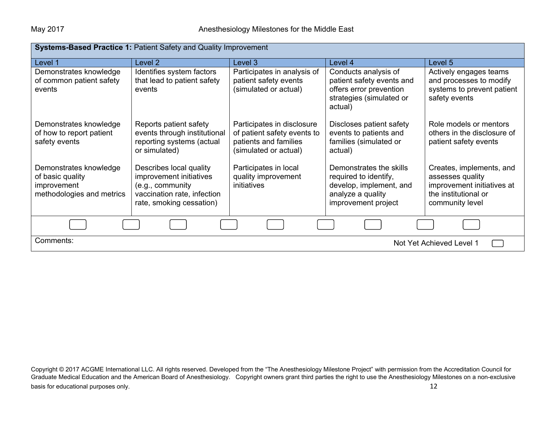| <b>Systems-Based Practice 1: Patient Safety and Quality Improvement</b> |                                                         |                                                |                                          |                                         |  |
|-------------------------------------------------------------------------|---------------------------------------------------------|------------------------------------------------|------------------------------------------|-----------------------------------------|--|
| Level 1                                                                 | Level 2                                                 | Level 3                                        | Level 4                                  | Level 5                                 |  |
| Demonstrates knowledge                                                  | Identifies system factors                               | Participates in analysis of                    | Conducts analysis of                     | Actively engages teams                  |  |
| of common patient safety                                                | that lead to patient safety                             | patient safety events                          | patient safety events and                | and processes to modify                 |  |
| events                                                                  | events                                                  | (simulated or actual)                          | offers error prevention                  | systems to prevent patient              |  |
|                                                                         |                                                         |                                                | strategies (simulated or<br>actual)      | safety events                           |  |
| Demonstrates knowledge                                                  | Reports patient safety                                  | Participates in disclosure                     | Discloses patient safety                 | Role models or mentors                  |  |
| of how to report patient                                                | events through institutional                            | of patient safety events to                    | events to patients and                   | others in the disclosure of             |  |
| safety events                                                           | reporting systems (actual                               | patients and families<br>(simulated or actual) | families (simulated or                   | patient safety events                   |  |
|                                                                         | or simulated)                                           |                                                | actual)                                  |                                         |  |
| Demonstrates knowledge                                                  | Describes local quality                                 | Participates in local                          | Demonstrates the skills                  | Creates, implements, and                |  |
| of basic quality                                                        | improvement initiatives                                 | quality improvement                            | required to identify,                    | assesses quality                        |  |
| improvement                                                             | (e.g., community                                        | initiatives                                    | develop, implement, and                  | improvement initiatives at              |  |
| methodologies and metrics                                               | vaccination rate, infection<br>rate, smoking cessation) |                                                | analyze a quality<br>improvement project | the institutional or<br>community level |  |
|                                                                         |                                                         |                                                |                                          |                                         |  |
|                                                                         |                                                         |                                                |                                          |                                         |  |
| Comments:<br>Not Yet Achieved Level 1                                   |                                                         |                                                |                                          |                                         |  |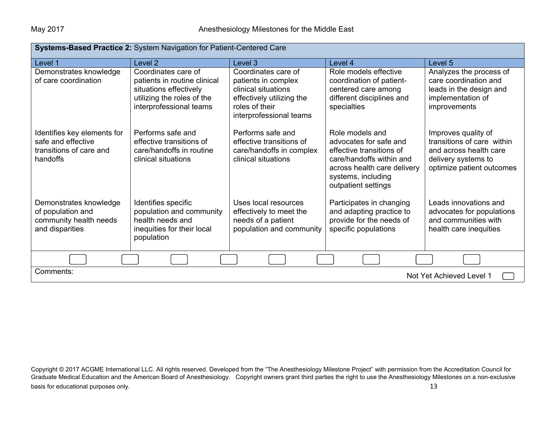| Systems-Based Practice 2: System Navigation for Patient-Centered Care                    |                                                                                                                                        |                                                                                                                                             |                                                                                                                                                                               |                                                                                                                                 |  |
|------------------------------------------------------------------------------------------|----------------------------------------------------------------------------------------------------------------------------------------|---------------------------------------------------------------------------------------------------------------------------------------------|-------------------------------------------------------------------------------------------------------------------------------------------------------------------------------|---------------------------------------------------------------------------------------------------------------------------------|--|
| Level 1                                                                                  | Level <sub>2</sub>                                                                                                                     | Level 3                                                                                                                                     | Level 4                                                                                                                                                                       | Level 5                                                                                                                         |  |
| Demonstrates knowledge<br>of care coordination                                           | Coordinates care of<br>patients in routine clinical<br>situations effectively<br>utilizing the roles of the<br>interprofessional teams | Coordinates care of<br>patients in complex<br>clinical situations<br>effectively utilizing the<br>roles of their<br>interprofessional teams | Role models effective<br>coordination of patient-<br>centered care among<br>different disciplines and<br>specialties                                                          | Analyzes the process of<br>care coordination and<br>leads in the design and<br>implementation of<br>improvements                |  |
| Identifies key elements for<br>safe and effective<br>transitions of care and<br>handoffs | Performs safe and<br>effective transitions of<br>care/handoffs in routine<br>clinical situations                                       | Performs safe and<br>effective transitions of<br>care/handoffs in complex<br>clinical situations                                            | Role models and<br>advocates for safe and<br>effective transitions of<br>care/handoffs within and<br>across health care delivery<br>systems, including<br>outpatient settings | Improves quality of<br>transitions of care within<br>and across health care<br>delivery systems to<br>optimize patient outcomes |  |
| Demonstrates knowledge<br>of population and<br>community health needs<br>and disparities | Identifies specific<br>population and community<br>health needs and<br>inequities for their local<br>population                        | Uses local resources<br>effectively to meet the<br>needs of a patient<br>population and community                                           | Participates in changing<br>and adapting practice to<br>provide for the needs of<br>specific populations                                                                      | Leads innovations and<br>advocates for populations<br>and communities with<br>health care inequities                            |  |
|                                                                                          |                                                                                                                                        |                                                                                                                                             |                                                                                                                                                                               |                                                                                                                                 |  |
| Comments:<br>Not Yet Achieved Level 1                                                    |                                                                                                                                        |                                                                                                                                             |                                                                                                                                                                               |                                                                                                                                 |  |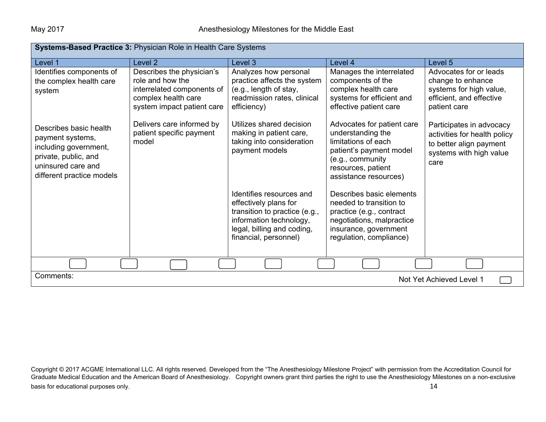| <b>Systems-Based Practice 3: Physician Role in Health Care Systems</b>                                                                         |                                                                                                                                  |                                                                                                                                          |                                                                                                                                                                                                  |                                                                                                                        |  |
|------------------------------------------------------------------------------------------------------------------------------------------------|----------------------------------------------------------------------------------------------------------------------------------|------------------------------------------------------------------------------------------------------------------------------------------|--------------------------------------------------------------------------------------------------------------------------------------------------------------------------------------------------|------------------------------------------------------------------------------------------------------------------------|--|
| Level 1                                                                                                                                        | Level <sub>2</sub>                                                                                                               | Level 3                                                                                                                                  | Level 4                                                                                                                                                                                          | Level 5                                                                                                                |  |
| Identifies components of<br>the complex health care<br>system                                                                                  | Describes the physician's<br>role and how the<br>interrelated components of<br>complex health care<br>system impact patient care | Analyzes how personal<br>practice affects the system<br>(e.g., length of stay,<br>readmission rates, clinical<br>efficiency)             | Manages the interrelated<br>components of the<br>complex health care<br>systems for efficient and<br>effective patient care                                                                      | Advocates for or leads<br>change to enhance<br>systems for high value,<br>efficient, and effective<br>patient care     |  |
| Describes basic health<br>payment systems,<br>including government,<br>private, public, and<br>uninsured care and<br>different practice models | Delivers care informed by<br>patient specific payment<br>model                                                                   | Utilizes shared decision<br>making in patient care,<br>taking into consideration<br>payment models<br>Identifies resources and           | Advocates for patient care<br>understanding the<br>limitations of each<br>patient's payment model<br>(e.g., community<br>resources, patient<br>assistance resources)<br>Describes basic elements | Participates in advocacy<br>activities for health policy<br>to better align payment<br>systems with high value<br>care |  |
|                                                                                                                                                |                                                                                                                                  | effectively plans for<br>transition to practice (e.g.,<br>information technology,<br>legal, billing and coding,<br>financial, personnel) | needed to transition to<br>practice (e.g., contract<br>negotiations, malpractice<br>insurance, government<br>regulation, compliance)                                                             |                                                                                                                        |  |
|                                                                                                                                                |                                                                                                                                  |                                                                                                                                          |                                                                                                                                                                                                  |                                                                                                                        |  |
| Comments:<br>Not Yet Achieved Level 1                                                                                                          |                                                                                                                                  |                                                                                                                                          |                                                                                                                                                                                                  |                                                                                                                        |  |

Copyright © 2017 ACGME International LLC. All rights reserved. Developed from the "The Anesthesiology Milestone Project" with permission from the Accreditation Council for Graduate Medical Education and the American Board of Anesthesiology. Copyright owners grant third parties the right to use the Anesthesiology Milestones on a non-exclusive basis for educational purposes only. **14** and the set of the set of the set of the set of the set of the set of the set of the set of the set of the set of the set of the set of the set of the set of the set of the set of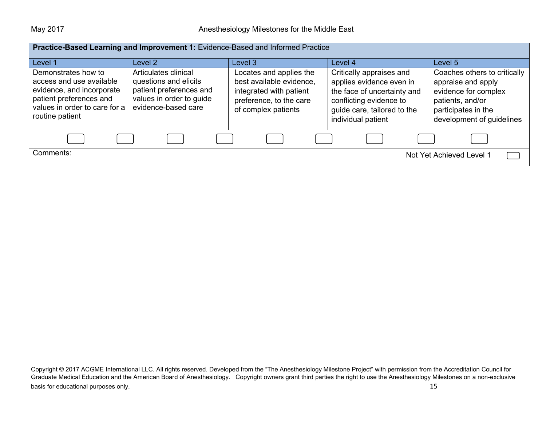| Practice-Based Learning and Improvement 1: Evidence-Based and Informed Practice                                                                             |                                                                                                                             |                                                                                                                                  |                                                                                                                                                                     |                                                                                                                                                    |
|-------------------------------------------------------------------------------------------------------------------------------------------------------------|-----------------------------------------------------------------------------------------------------------------------------|----------------------------------------------------------------------------------------------------------------------------------|---------------------------------------------------------------------------------------------------------------------------------------------------------------------|----------------------------------------------------------------------------------------------------------------------------------------------------|
| Level 1                                                                                                                                                     | Level 2                                                                                                                     | Level 3                                                                                                                          | Level 4                                                                                                                                                             | Level 5                                                                                                                                            |
| Demonstrates how to<br>access and use available<br>evidence, and incorporate<br>patient preferences and<br>values in order to care for a<br>routine patient | Articulates clinical<br>questions and elicits<br>patient preferences and<br>values in order to guide<br>evidence-based care | Locates and applies the<br>best available evidence,<br>integrated with patient<br>preference, to the care<br>of complex patients | Critically appraises and<br>applies evidence even in<br>the face of uncertainty and<br>conflicting evidence to<br>guide care, tailored to the<br>individual patient | Coaches others to critically<br>appraise and apply<br>evidence for complex<br>patients, and/or<br>participates in the<br>development of guidelines |
|                                                                                                                                                             |                                                                                                                             |                                                                                                                                  |                                                                                                                                                                     |                                                                                                                                                    |
| Comments:<br>Not Yet Achieved Level 1                                                                                                                       |                                                                                                                             |                                                                                                                                  |                                                                                                                                                                     |                                                                                                                                                    |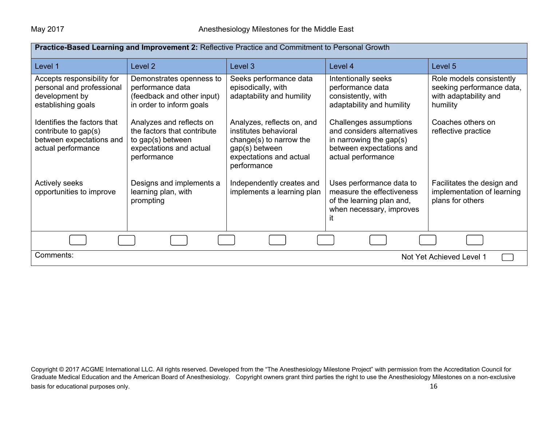| Practice-Based Learning and Improvement 2: Reflective Practice and Commitment to Personal Growth      |                                                                                                                        |                                                                                                                                            |                                                                                                                                      |                                                                                            |
|-------------------------------------------------------------------------------------------------------|------------------------------------------------------------------------------------------------------------------------|--------------------------------------------------------------------------------------------------------------------------------------------|--------------------------------------------------------------------------------------------------------------------------------------|--------------------------------------------------------------------------------------------|
| Level 1                                                                                               | Level <sub>2</sub>                                                                                                     | Level 3                                                                                                                                    | Level 4                                                                                                                              | Level 5                                                                                    |
| Accepts responsibility for<br>personal and professional<br>development by<br>establishing goals       | Demonstrates openness to<br>performance data<br>(feedback and other input)<br>in order to inform goals                 | Seeks performance data<br>episodically, with<br>adaptability and humility                                                                  | Intentionally seeks<br>performance data<br>consistently, with<br>adaptability and humility                                           | Role models consistently<br>seeking performance data,<br>with adaptability and<br>humility |
| Identifies the factors that<br>contribute to gap(s)<br>between expectations and<br>actual performance | Analyzes and reflects on<br>the factors that contribute<br>to gap(s) between<br>expectations and actual<br>performance | Analyzes, reflects on, and<br>institutes behavioral<br>change(s) to narrow the<br>gap(s) between<br>expectations and actual<br>performance | Challenges assumptions<br>and considers alternatives<br>in narrowing the gap $(s)$<br>between expectations and<br>actual performance | Coaches others on<br>reflective practice                                                   |
| Actively seeks<br>opportunities to improve                                                            | Designs and implements a<br>learning plan, with<br>prompting                                                           | Independently creates and<br>implements a learning plan                                                                                    | Uses performance data to<br>measure the effectiveness<br>of the learning plan and,<br>when necessary, improves<br>ıt.                | Facilitates the design and<br>implementation of learning<br>plans for others               |
|                                                                                                       |                                                                                                                        |                                                                                                                                            |                                                                                                                                      |                                                                                            |
| Comments:<br>Not Yet Achieved Level 1                                                                 |                                                                                                                        |                                                                                                                                            |                                                                                                                                      |                                                                                            |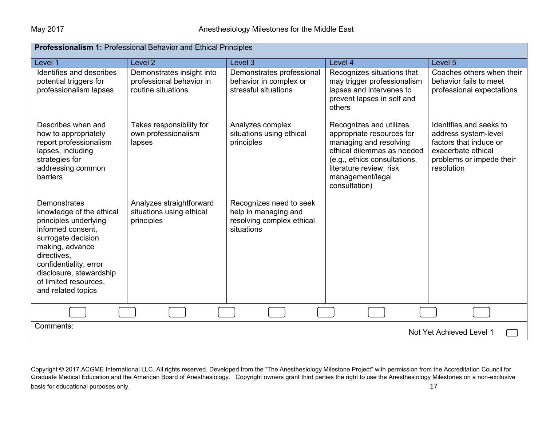| <b>Professionalism 1: Professional Behavior and Ethical Principles</b>                                                                                                                                                                                    |                                                                             |                                                                                            |                                                                                                                                                                                                              |                                                                                                                                           |  |
|-----------------------------------------------------------------------------------------------------------------------------------------------------------------------------------------------------------------------------------------------------------|-----------------------------------------------------------------------------|--------------------------------------------------------------------------------------------|--------------------------------------------------------------------------------------------------------------------------------------------------------------------------------------------------------------|-------------------------------------------------------------------------------------------------------------------------------------------|--|
| Level 1                                                                                                                                                                                                                                                   | Level 2                                                                     | Level 3                                                                                    | Level 4                                                                                                                                                                                                      | Level <sub>5</sub>                                                                                                                        |  |
| Identifies and describes<br>potential triggers for<br>professionalism lapses                                                                                                                                                                              | Demonstrates insight into<br>professional behavior in<br>routine situations | Demonstrates professional<br>behavior in complex or<br>stressful situations                | Recognizes situations that<br>may trigger professionalism<br>lapses and intervenes to<br>prevent lapses in self and<br>others                                                                                | Coaches others when their<br>behavior fails to meet<br>professional expectations                                                          |  |
| Describes when and<br>how to appropriately<br>report professionalism<br>lapses, including<br>strategies for<br>addressing common<br>barriers                                                                                                              | Takes responsibility for<br>own professionalism<br>lapses                   | Analyzes complex<br>situations using ethical<br>principles                                 | Recognizes and utilizes<br>appropriate resources for<br>managing and resolving<br>ethical dilemmas as needed<br>(e.g., ethics consultations,<br>literature review, risk<br>management/legal<br>consultation) | Identifies and seeks to<br>address system-level<br>factors that induce or<br>exacerbate ethical<br>problems or impede their<br>resolution |  |
| <b>Demonstrates</b><br>knowledge of the ethical<br>principles underlying<br>informed consent.<br>surrogate decision<br>making, advance<br>directives,<br>confidentiality, error<br>disclosure, stewardship<br>of limited resources.<br>and related topics | Analyzes straightforward<br>situations using ethical<br>principles          | Recognizes need to seek<br>help in managing and<br>resolving complex ethical<br>situations |                                                                                                                                                                                                              |                                                                                                                                           |  |
|                                                                                                                                                                                                                                                           |                                                                             |                                                                                            |                                                                                                                                                                                                              |                                                                                                                                           |  |
| Comments:<br>Not Yet Achieved Level 1                                                                                                                                                                                                                     |                                                                             |                                                                                            |                                                                                                                                                                                                              |                                                                                                                                           |  |

Copyright © 2017 ACGME International LLC. All rights reserved. Developed from the "The Anesthesiology Milestone Project" with permission from the Accreditation Council for Graduate Medical Education and the American Board of Anesthesiology. Copyright owners grant third parties the right to use the Anesthesiology Milestones on a non-exclusive basis for educational purposes only. **17** and the set of the set of the set of the set of the set of the set of the set of the set of the set of the set of the set of the set of the set of the set of the set of the set of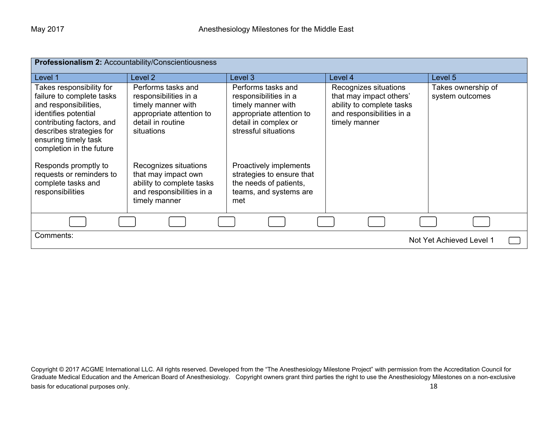| Professionalism 2: Accountability/Conscientiousness                                                                                                                                                                 |                                                                                                                                  |                                                                                                                                               |                                                                                                                             |                                       |
|---------------------------------------------------------------------------------------------------------------------------------------------------------------------------------------------------------------------|----------------------------------------------------------------------------------------------------------------------------------|-----------------------------------------------------------------------------------------------------------------------------------------------|-----------------------------------------------------------------------------------------------------------------------------|---------------------------------------|
| Level 1                                                                                                                                                                                                             | Level <sub>2</sub>                                                                                                               | Level 3                                                                                                                                       | Level 4                                                                                                                     | Level 5                               |
| Takes responsibility for<br>failure to complete tasks<br>and responsibilities,<br>identifies potential<br>contributing factors, and<br>describes strategies for<br>ensuring timely task<br>completion in the future | Performs tasks and<br>responsibilities in a<br>timely manner with<br>appropriate attention to<br>detail in routine<br>situations | Performs tasks and<br>responsibilities in a<br>timely manner with<br>appropriate attention to<br>detail in complex or<br>stressful situations | Recognizes situations<br>that may impact others'<br>ability to complete tasks<br>and responsibilities in a<br>timely manner | Takes ownership of<br>system outcomes |
| Responds promptly to<br>requests or reminders to<br>complete tasks and<br>responsibilities                                                                                                                          | Recognizes situations<br>that may impact own<br>ability to complete tasks<br>and responsibilities in a<br>timely manner          | Proactively implements<br>strategies to ensure that<br>the needs of patients,<br>teams, and systems are<br>met                                |                                                                                                                             |                                       |
|                                                                                                                                                                                                                     |                                                                                                                                  |                                                                                                                                               |                                                                                                                             |                                       |
| Comments:<br>Not Yet Achieved Level 1                                                                                                                                                                               |                                                                                                                                  |                                                                                                                                               |                                                                                                                             |                                       |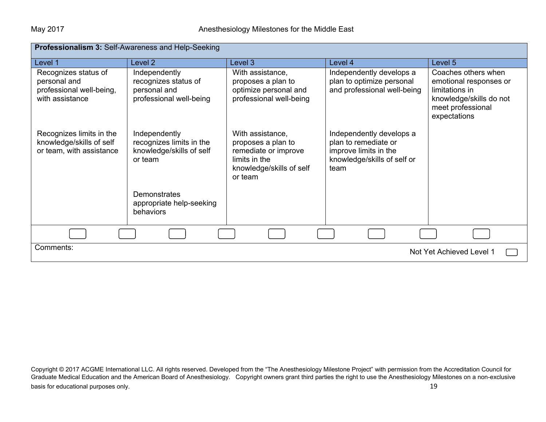| <b>Professionalism 3: Self-Awareness and Help-Seeking</b>                           |                                                                                  |                                                                                                                        |                                                                                                                  |                                                                                                                                 |  |
|-------------------------------------------------------------------------------------|----------------------------------------------------------------------------------|------------------------------------------------------------------------------------------------------------------------|------------------------------------------------------------------------------------------------------------------|---------------------------------------------------------------------------------------------------------------------------------|--|
| Level 1                                                                             | Level 2                                                                          | Level 3                                                                                                                | Level 4                                                                                                          | Level 5                                                                                                                         |  |
| Recognizes status of<br>personal and<br>professional well-being,<br>with assistance | Independently<br>recognizes status of<br>personal and<br>professional well-being | With assistance,<br>proposes a plan to<br>optimize personal and<br>professional well-being                             | Independently develops a<br>plan to optimize personal<br>and professional well-being                             | Coaches others when<br>emotional responses or<br>limitations in<br>knowledge/skills do not<br>meet professional<br>expectations |  |
| Recognizes limits in the<br>knowledge/skills of self<br>or team, with assistance    | Independently<br>recognizes limits in the<br>knowledge/skills of self<br>or team | With assistance,<br>proposes a plan to<br>remediate or improve<br>limits in the<br>knowledge/skills of self<br>or team | Independently develops a<br>plan to remediate or<br>improve limits in the<br>knowledge/skills of self or<br>team |                                                                                                                                 |  |
|                                                                                     | Demonstrates<br>appropriate help-seeking<br>behaviors                            |                                                                                                                        |                                                                                                                  |                                                                                                                                 |  |
|                                                                                     |                                                                                  |                                                                                                                        |                                                                                                                  |                                                                                                                                 |  |
| Comments:<br>Not Yet Achieved Level 1                                               |                                                                                  |                                                                                                                        |                                                                                                                  |                                                                                                                                 |  |

Copyright © 2017 ACGME International LLC. All rights reserved. Developed from the "The Anesthesiology Milestone Project" with permission from the Accreditation Council for Graduate Medical Education and the American Board of Anesthesiology. Copyright owners grant third parties the right to use the Anesthesiology Milestones on a non-exclusive basis for educational purposes only. **19** and the set of the set of the set of the set of the set of the set of the set of the set of the set of the set of the set of the set of the set of the set of the set of the set of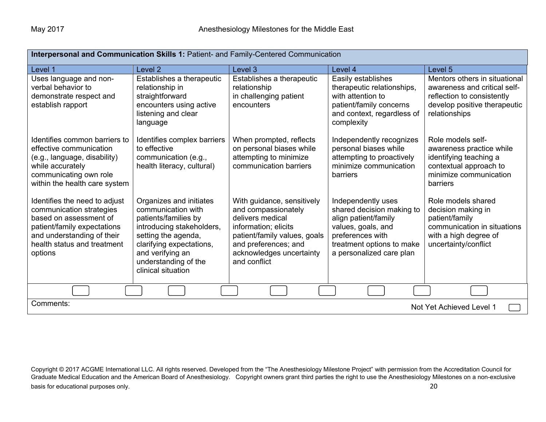| Interpersonal and Communication Skills 1: Patient- and Family-Centered Communication                                                                                                       |                                                                                                                                                                                                                         |                                                                                                                                                                                                   |                                                                                                                                                                            |                                                                                                                                              |  |
|--------------------------------------------------------------------------------------------------------------------------------------------------------------------------------------------|-------------------------------------------------------------------------------------------------------------------------------------------------------------------------------------------------------------------------|---------------------------------------------------------------------------------------------------------------------------------------------------------------------------------------------------|----------------------------------------------------------------------------------------------------------------------------------------------------------------------------|----------------------------------------------------------------------------------------------------------------------------------------------|--|
| Level 1                                                                                                                                                                                    | Level 2                                                                                                                                                                                                                 | Level 3                                                                                                                                                                                           | Level 4                                                                                                                                                                    | Level <sub>5</sub>                                                                                                                           |  |
| Uses language and non-<br>verbal behavior to<br>demonstrate respect and<br>establish rapport                                                                                               | Establishes a therapeutic<br>relationship in<br>straightforward<br>encounters using active<br>listening and clear<br>language                                                                                           | Establishes a therapeutic<br>relationship<br>in challenging patient<br>encounters                                                                                                                 | Easily establishes<br>therapeutic relationships,<br>with attention to<br>patient/family concerns<br>and context, regardless of<br>complexity                               | Mentors others in situational<br>awareness and critical self-<br>reflection to consistently<br>develop positive therapeutic<br>relationships |  |
| Identifies common barriers to<br>effective communication<br>(e.g., language, disability)<br>while accurately<br>communicating own role<br>within the health care system                    | Identifies complex barriers<br>to effective<br>communication (e.g.,<br>health literacy, cultural)                                                                                                                       | When prompted, reflects<br>on personal biases while<br>attempting to minimize<br>communication barriers                                                                                           | Independently recognizes<br>personal biases while<br>attempting to proactively<br>minimize communication<br>barriers                                                       | Role models self-<br>awareness practice while<br>identifying teaching a<br>contextual approach to<br>minimize communication<br>barriers      |  |
| Identifies the need to adjust<br>communication strategies<br>based on assessment of<br>patient/family expectations<br>and understanding of their<br>health status and treatment<br>options | Organizes and initiates<br>communication with<br>patients/families by<br>introducing stakeholders,<br>setting the agenda,<br>clarifying expectations,<br>and verifying an<br>understanding of the<br>clinical situation | With guidance, sensitively<br>and compassionately<br>delivers medical<br>information; elicits<br>patient/family values, goals<br>and preferences; and<br>acknowledges uncertainty<br>and conflict | Independently uses<br>shared decision making to<br>align patient/family<br>values, goals, and<br>preferences with<br>treatment options to make<br>a personalized care plan | Role models shared<br>decision making in<br>patient/family<br>communication in situations<br>with a high degree of<br>uncertainty/conflict   |  |
|                                                                                                                                                                                            |                                                                                                                                                                                                                         |                                                                                                                                                                                                   |                                                                                                                                                                            |                                                                                                                                              |  |
| Comments:<br>Not Yet Achieved Level 1                                                                                                                                                      |                                                                                                                                                                                                                         |                                                                                                                                                                                                   |                                                                                                                                                                            |                                                                                                                                              |  |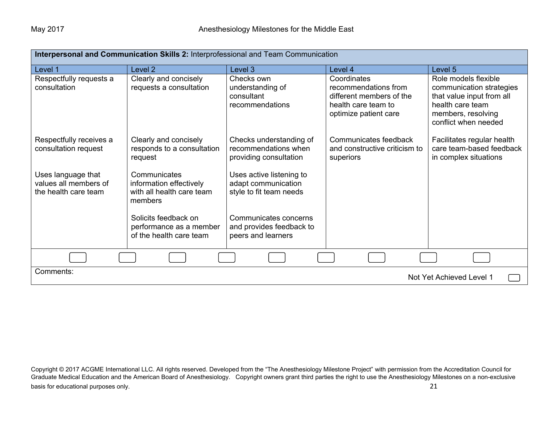| Interpersonal and Communication Skills 2: Interprofessional and Team Communication |                                                                                 |                                                                            |                                                                                                                 |                                                                                                                                                 |
|------------------------------------------------------------------------------------|---------------------------------------------------------------------------------|----------------------------------------------------------------------------|-----------------------------------------------------------------------------------------------------------------|-------------------------------------------------------------------------------------------------------------------------------------------------|
| Level 1                                                                            | Level <sub>2</sub>                                                              | Level 3                                                                    | Level 4                                                                                                         | Level 5                                                                                                                                         |
| Respectfully requests a<br>consultation                                            | Clearly and concisely<br>requests a consultation                                | Checks own<br>understanding of<br>consultant<br>recommendations            | Coordinates<br>recommendations from<br>different members of the<br>health care team to<br>optimize patient care | Role models flexible<br>communication strategies<br>that value input from all<br>health care team<br>members, resolving<br>conflict when needed |
| Respectfully receives a<br>consultation request                                    | Clearly and concisely<br>responds to a consultation<br>request                  | Checks understanding of<br>recommendations when<br>providing consultation  | Communicates feedback<br>and constructive criticism to<br>superiors                                             | Facilitates regular health<br>care team-based feedback<br>in complex situations                                                                 |
| Uses language that<br>values all members of<br>the health care team                | Communicates<br>information effectively<br>with all health care team<br>members | Uses active listening to<br>adapt communication<br>style to fit team needs |                                                                                                                 |                                                                                                                                                 |
|                                                                                    | Solicits feedback on<br>performance as a member<br>of the health care team      | Communicates concerns<br>and provides feedback to<br>peers and learners    |                                                                                                                 |                                                                                                                                                 |
|                                                                                    |                                                                                 |                                                                            |                                                                                                                 |                                                                                                                                                 |
| Comments:<br>Not Yet Achieved Level 1                                              |                                                                                 |                                                                            |                                                                                                                 |                                                                                                                                                 |